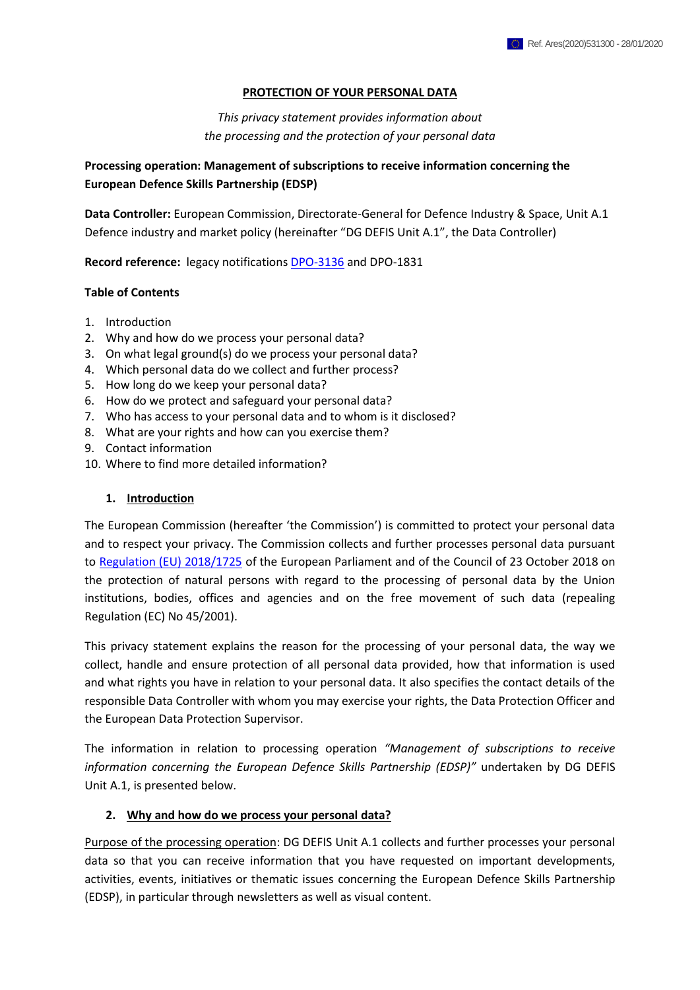#### **PROTECTION OF YOUR PERSONAL DATA**

*This privacy statement provides information about the processing and the protection of your personal data*

## **Processing operation: Management of subscriptions to receive information concerning the European Defence Skills Partnership (EDSP)**

**Data Controller:** European Commission, Directorate-General for Defence Industry & Space, Unit A.1 Defence industry and market policy (hereinafter "DG DEFIS Unit A.1", the Data Controller)

**Record reference:** legacy notifications [DPO-3136](http://ec.europa.eu/dpo-register/detail/DPO-3136-4) and DPO-1831

#### **Table of Contents**

- 1. Introduction
- 2. Why and how do we process your personal data?
- 3. On what legal ground(s) do we process your personal data?
- 4. Which personal data do we collect and further process?
- 5. How long do we keep your personal data?
- 6. How do we protect and safeguard your personal data?
- 7. Who has access to your personal data and to whom is it disclosed?
- 8. What are your rights and how can you exercise them?
- 9. Contact information
- 10. Where to find more detailed information?

### **1. Introduction**

The European Commission (hereafter 'the Commission') is committed to protect your personal data and to respect your privacy. The Commission collects and further processes personal data pursuant to [Regulation \(EU\) 2018/1725](https://eur-lex.europa.eu/legal-content/EN/TXT/?uri=uriserv:OJ.L_.2018.295.01.0039.01.ENG&toc=OJ:L:2018:295:TOC) of the European Parliament and of the Council of 23 October 2018 on the protection of natural persons with regard to the processing of personal data by the Union institutions, bodies, offices and agencies and on the free movement of such data (repealing Regulation (EC) No 45/2001).

This privacy statement explains the reason for the processing of your personal data, the way we collect, handle and ensure protection of all personal data provided, how that information is used and what rights you have in relation to your personal data. It also specifies the contact details of the responsible Data Controller with whom you may exercise your rights, the Data Protection Officer and the European Data Protection Supervisor.

The information in relation to processing operation *"Management of subscriptions to receive information concerning the European Defence Skills Partnership (EDSP)"* undertaken by DG DEFIS Unit A.1, is presented below.

#### **2. Why and how do we process your personal data?**

Purpose of the processing operation: DG DEFIS Unit A.1 collects and further processes your personal data so that you can receive information that you have requested on important developments, activities, events, initiatives or thematic issues concerning the European Defence Skills Partnership (EDSP), in particular through newsletters as well as visual content.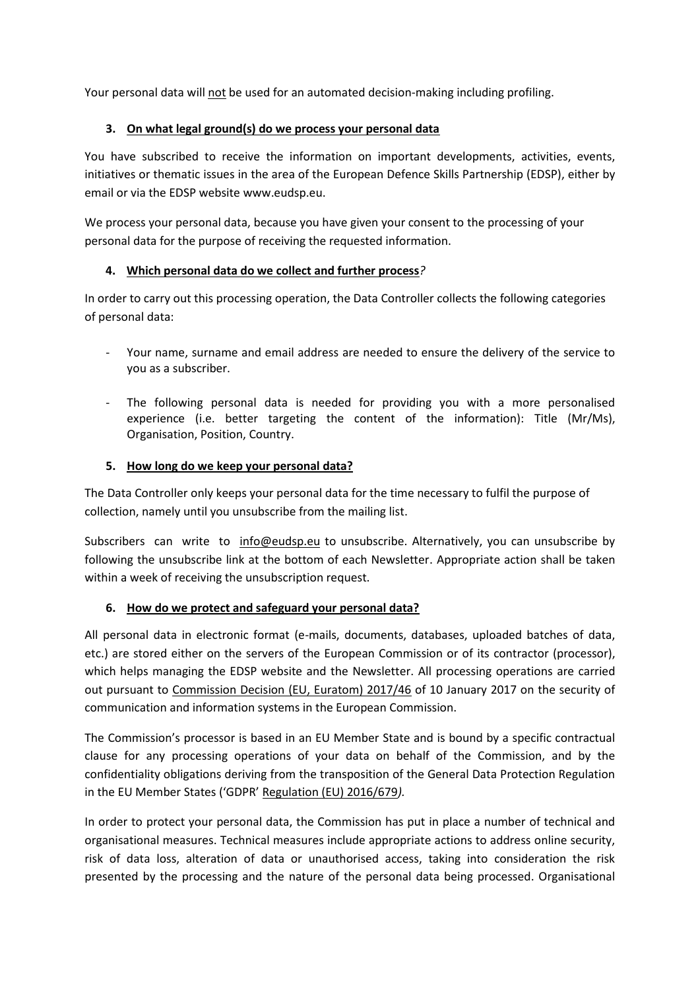Your personal data will not be used for an automated decision-making including profiling.

## **3. On what legal ground(s) do we process your personal data**

You have subscribed to receive the information on important developments, activities, events, initiatives or thematic issues in the area of the European Defence Skills Partnership (EDSP), either by email or via the EDSP website www.eudsp.eu.

We process your personal data, because you have given your consent to the processing of your personal data for the purpose of receiving the requested information.

# **4. Which personal data do we collect and further process***?*

In order to carry out this processing operation, the Data Controller collects the following categories of personal data:

- Your name, surname and email address are needed to ensure the delivery of the service to you as a subscriber.
- The following personal data is needed for providing you with a more personalised experience (i.e. better targeting the content of the information): Title (Mr/Ms), Organisation, Position, Country.

## **5. How long do we keep your personal data?**

The Data Controller only keeps your personal data for the time necessary to fulfil the purpose of collection, namely until you unsubscribe from the mailing list.

Subscribers can write to [info@eudsp.eu](mailto:info@eudsp.eu) to unsubscribe. Alternatively, you can unsubscribe by following the unsubscribe link at the bottom of each Newsletter. Appropriate action shall be taken within a week of receiving the unsubscription request.

# **6. How do we protect and safeguard your personal data?**

All personal data in electronic format (e-mails, documents, databases, uploaded batches of data, etc.) are stored either on the servers of the European Commission or of its contractor (processor), which helps managing the EDSP website and the Newsletter. All processing operations are carried out pursuant to [Commission Decision \(EU, Euratom\) 2017/46](https://eur-lex.europa.eu/legal-content/EN/TXT/?qid=1548093747090&uri=CELEX:32017D0046) of 10 January 2017 on the security of communication and information systems in the European Commission.

The Commission's processor is based in an EU Member State and is bound by a specific contractual clause for any processing operations of your data on behalf of the Commission, and by the confidentiality obligations deriving from the transposition of the General Data Protection Regulation in the EU Member States ('GDPR' [Regulation \(EU\) 2016/679](https://eur-lex.europa.eu/legal-content/EN/TXT/?uri=celex%3A32016R0679)*).*

In order to protect your personal data, the Commission has put in place a number of technical and organisational measures. Technical measures include appropriate actions to address online security, risk of data loss, alteration of data or unauthorised access, taking into consideration the risk presented by the processing and the nature of the personal data being processed. Organisational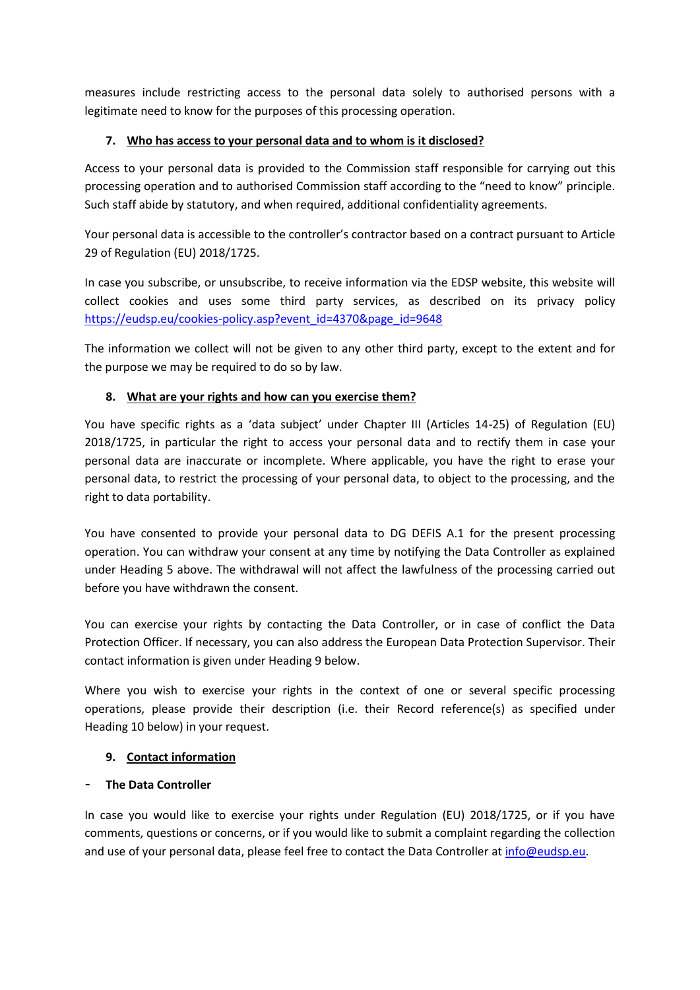measures include restricting access to the personal data solely to authorised persons with a legitimate need to know for the purposes of this processing operation.

## **7. Who has access to your personal data and to whom is it disclosed?**

Access to your personal data is provided to the Commission staff responsible for carrying out this processing operation and to authorised Commission staff according to the "need to know" principle. Such staff abide by statutory, and when required, additional confidentiality agreements.

Your personal data is accessible to the controller's contractor based on a contract pursuant to Article 29 of Regulation (EU) 2018/1725.

In case you subscribe, or unsubscribe, to receive information via the EDSP website, this website will collect cookies and uses some third party services, as described on its privacy policy [https://eudsp.eu/cookies-policy.asp?event\\_id=4370&page\\_id=9648](https://eudsp.eu/cookies-policy.asp?event_id=4370&page_id=9648)

The information we collect will not be given to any other third party, except to the extent and for the purpose we may be required to do so by law.

## **8. What are your rights and how can you exercise them?**

You have specific rights as a 'data subject' under Chapter III (Articles 14-25) of Regulation (EU) 2018/1725, in particular the right to access your personal data and to rectify them in case your personal data are inaccurate or incomplete. Where applicable, you have the right to erase your personal data, to restrict the processing of your personal data, to object to the processing, and the right to data portability.

You have consented to provide your personal data to DG DEFIS A.1 for the present processing operation. You can withdraw your consent at any time by notifying the Data Controller as explained under Heading 5 above. The withdrawal will not affect the lawfulness of the processing carried out before you have withdrawn the consent.

You can exercise your rights by contacting the Data Controller, or in case of conflict the Data Protection Officer. If necessary, you can also address the European Data Protection Supervisor. Their contact information is given under Heading 9 below.

Where you wish to exercise your rights in the context of one or several specific processing operations, please provide their description (i.e. their Record reference(s) as specified under Heading 10 below) in your request.

## **9. Contact information**

# - **The Data Controller**

In case you would like to exercise your rights under Regulation (EU) 2018/1725, or if you have comments, questions or concerns, or if you would like to submit a complaint regarding the collection and use of your personal data, please feel free to contact the Data Controller a[t info@eudsp.eu.](mailto:info@eudsp.eu)